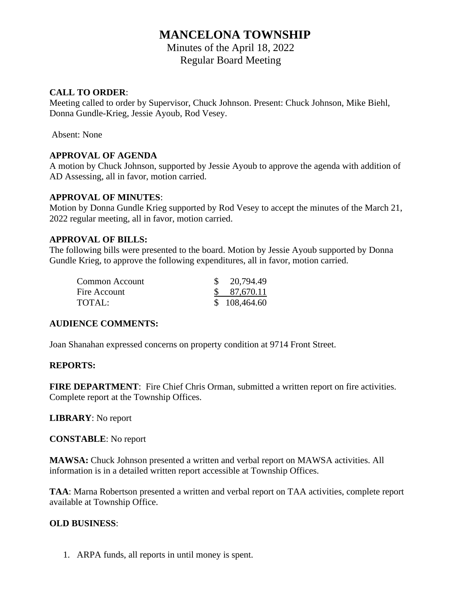# **MANCELONA TOWNSHIP**

Minutes of the April 18, 2022 Regular Board Meeting

#### **CALL TO ORDER**:

Meeting called to order by Supervisor, Chuck Johnson. Present: Chuck Johnson, Mike Biehl, Donna Gundle-Krieg, Jessie Ayoub, Rod Vesey.

Absent: None

#### **APPROVAL OF AGENDA**

A motion by Chuck Johnson, supported by Jessie Ayoub to approve the agenda with addition of AD Assessing, all in favor, motion carried.

#### **APPROVAL OF MINUTES**:

Motion by Donna Gundle Krieg supported by Rod Vesey to accept the minutes of the March 21, 2022 regular meeting, all in favor, motion carried.

#### **APPROVAL OF BILLS:**

The following bills were presented to the board. Motion by Jessie Ayoub supported by Donna Gundle Krieg, to approve the following expenditures, all in favor, motion carried.

| Common Account | $\frac{$}{20,794.49}$ |
|----------------|-----------------------|
| Fire Account   | \$87,670.11           |
| TOTAL:         | \$108,464.60          |

# **AUDIENCE COMMENTS:**

Joan Shanahan expressed concerns on property condition at 9714 Front Street.

#### **REPORTS:**

**FIRE DEPARTMENT:** Fire Chief Chris Orman, submitted a written report on fire activities. Complete report at the Township Offices.

**LIBRARY**: No report

**CONSTABLE**: No report

**MAWSA:** Chuck Johnson presented a written and verbal report on MAWSA activities. All information is in a detailed written report accessible at Township Offices.

**TAA**: Marna Robertson presented a written and verbal report on TAA activities, complete report available at Township Office.

# **OLD BUSINESS**:

1. ARPA funds, all reports in until money is spent.